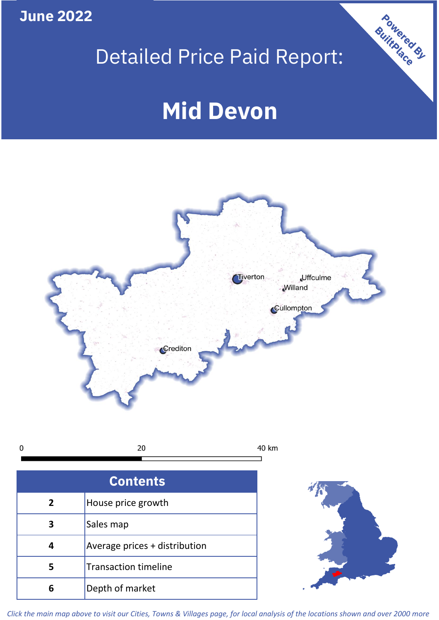**June 2022**

# Detailed Price Paid Report:

# **Mid Devon**



 $\pmb{0}$ 20 40 km

| <b>Contents</b> |                               |  |  |
|-----------------|-------------------------------|--|--|
| 2               | House price growth            |  |  |
| 3               | Sales map                     |  |  |
|                 | Average prices + distribution |  |  |
| 5               | <b>Transaction timeline</b>   |  |  |
| ĥ               | Depth of market               |  |  |



Powered By

*Click the main map above to visit our Cities, Towns & Villages page, for local analysis of the locations shown and over 2000 more*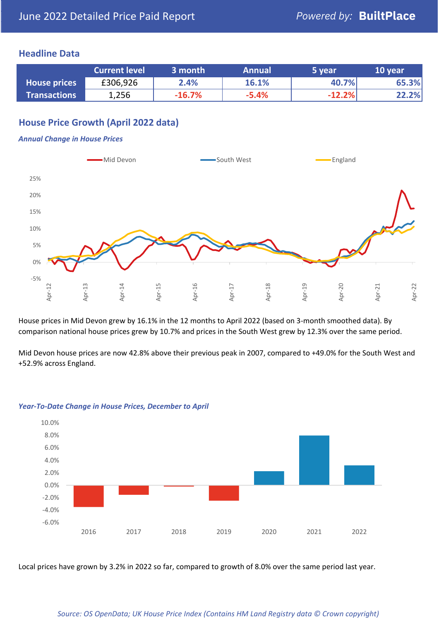### **Headline Data**

|                     | <b>Current level</b> | 3 month  | <b>Annual</b> | 5 year   | 10 year |
|---------------------|----------------------|----------|---------------|----------|---------|
| <b>House prices</b> | £306,926             | 2.4%     | 16.1%         | 40.7%    | 65.3%   |
| <b>Transactions</b> | 1,256                | $-16.7%$ | $-5.4%$       | $-12.2%$ | 22.2%   |

# **House Price Growth (April 2022 data)**

#### *Annual Change in House Prices*



House prices in Mid Devon grew by 16.1% in the 12 months to April 2022 (based on 3-month smoothed data). By comparison national house prices grew by 10.7% and prices in the South West grew by 12.3% over the same period.

Mid Devon house prices are now 42.8% above their previous peak in 2007, compared to +49.0% for the South West and +52.9% across England.



#### *Year-To-Date Change in House Prices, December to April*

Local prices have grown by 3.2% in 2022 so far, compared to growth of 8.0% over the same period last year.

#### *Source: OS OpenData; UK House Price Index (Contains HM Land Registry data © Crown copyright)*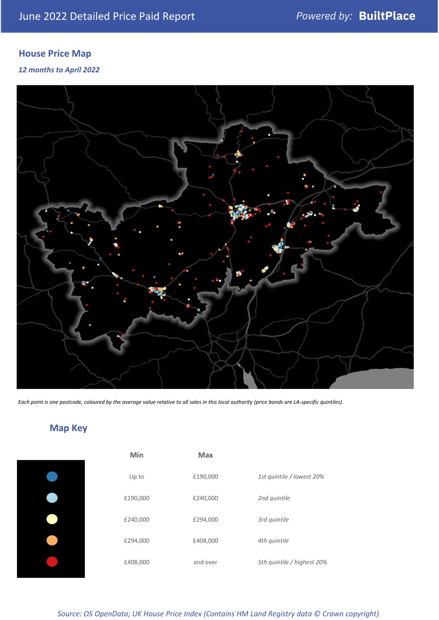# **House Price Map**

*12 months to April 2022*



*Each point is one postcode, coloured by the average value relative to all sales in this local authority (price bands are LA-specific quintiles).*

# **Map Key**

| Min      | <b>Max</b> |                            |
|----------|------------|----------------------------|
| Up to    | £190,000   | 1st quintile / lowest 20%  |
| £190,000 | £240,000   | 2nd quintile               |
| £240,000 | £294,000   | 3rd quintile               |
| £294,000 | £408,000   | 4th quintile               |
| £408,000 | and over   | 5th quintile / highest 20% |

*Source: OS OpenData; UK House Price Index (Contains HM Land Registry data © Crown copyright)*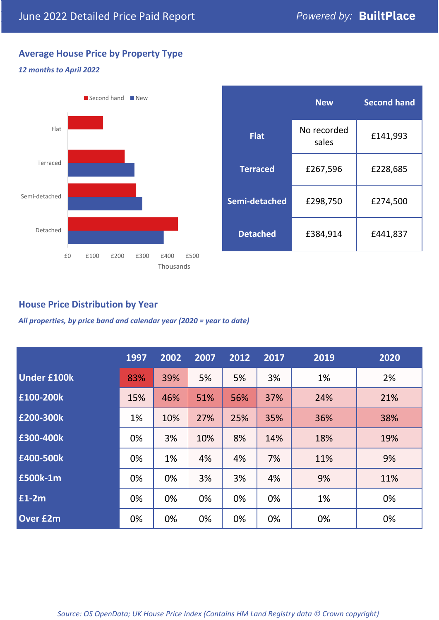# **Average House Price by Property Type**

#### *12 months to April 2022*



|                 | <b>New</b>           | <b>Second hand</b> |  |  |
|-----------------|----------------------|--------------------|--|--|
| <b>Flat</b>     | No recorded<br>sales | £141,993           |  |  |
| <b>Terraced</b> | £267,596             | £228,685           |  |  |
| Semi-detached   | £298,750             | £274,500           |  |  |
| <b>Detached</b> | £384,914             | £441,837           |  |  |

# **House Price Distribution by Year**

*All properties, by price band and calendar year (2020 = year to date)*

|                    | 1997 | 2002 | 2007 | 2012 | 2017 | 2019 | 2020 |
|--------------------|------|------|------|------|------|------|------|
| <b>Under £100k</b> | 83%  | 39%  | 5%   | 5%   | 3%   | 1%   | 2%   |
| £100-200k          | 15%  | 46%  | 51%  | 56%  | 37%  | 24%  | 21%  |
| E200-300k          | 1%   | 10%  | 27%  | 25%  | 35%  | 36%  | 38%  |
| £300-400k          | 0%   | 3%   | 10%  | 8%   | 14%  | 18%  | 19%  |
| £400-500k          | 0%   | 1%   | 4%   | 4%   | 7%   | 11%  | 9%   |
| <b>£500k-1m</b>    | 0%   | 0%   | 3%   | 3%   | 4%   | 9%   | 11%  |
| £1-2m              | 0%   | 0%   | 0%   | 0%   | 0%   | 1%   | 0%   |
| <b>Over £2m</b>    | 0%   | 0%   | 0%   | 0%   | 0%   | 0%   | 0%   |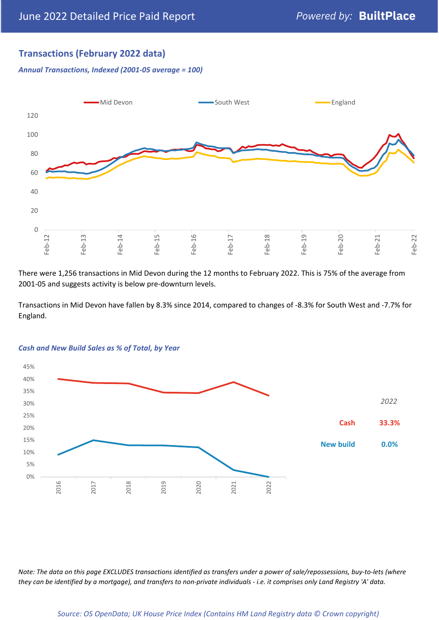# **Transactions (February 2022 data)**

*Annual Transactions, Indexed (2001-05 average = 100)*



There were 1,256 transactions in Mid Devon during the 12 months to February 2022. This is 75% of the average from 2001-05 and suggests activity is below pre-downturn levels.

Transactions in Mid Devon have fallen by 8.3% since 2014, compared to changes of -8.3% for South West and -7.7% for England.



#### *Cash and New Build Sales as % of Total, by Year*

*Note: The data on this page EXCLUDES transactions identified as transfers under a power of sale/repossessions, buy-to-lets (where they can be identified by a mortgage), and transfers to non-private individuals - i.e. it comprises only Land Registry 'A' data.*